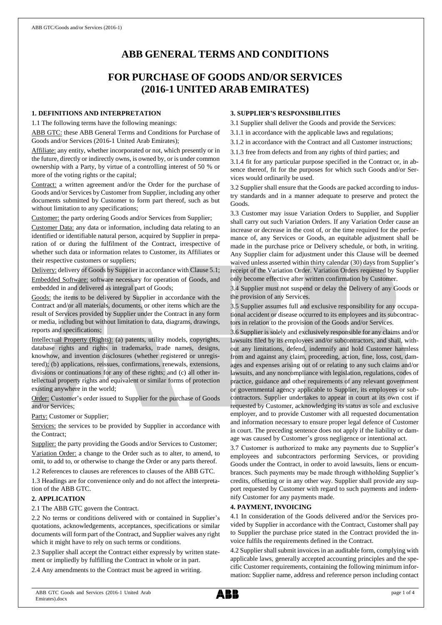# **ABB GENERAL TERMS AND CONDITIONS**

## **FOR PURCHASE OF GOODS AND/OR SERVICES (2016-1 UNITED ARAB EMIRATES)**

#### **1. DEFINITIONS AND INTERPRETATION**

1.1 The following terms have the following meanings:

ABB GTC: these ABB General Terms and Conditions for Purchase of Goods and/or Services (2016-1 United Arab Emirates);

Affiliate: any entity, whether incorporated or not, which presently or in the future, directly or indirectly owns, is owned by, or is under common ownership with a Party, by virtue of a controlling interest of 50 % or more of the voting rights or the capital;

Contract: a written agreement and/or the Order for the purchase of Goods and/or Services by Customer from Supplier, including any other documents submitted by Customer to form part thereof, such as but without limitation to any specifications;

Customer: the party ordering Goods and/or Services from Supplier;

Customer Data: any data or information, including data relating to an identified or identifiable natural person, acquired by Supplier in preparation of or during the fulfilment of the Contract, irrespective of whether such data or information relates to Customer, its Affiliates or their respective customers or suppliers;

Delivery: delivery of Goods by Supplier in accordance with Clause 5.1;

Embedded Software: software necessary for operation of Goods, and embedded in and delivered as integral part of Goods;

Goods: the items to be delivered by Supplier in accordance with the Contract and/or all materials, documents, or other items which are the result of Services provided by Supplier under the Contract in any form or media, including but without limitation to data, diagrams, drawings, reports and specifications;

Intellectual Property (Rights): (a) patents, utility models, copyrights, database rights and rights in trademarks, trade names, designs, knowhow, and invention disclosures (whether registered or unregistered); (b) applications, reissues, confirmations, renewals, extensions, divisions or continuations for any of these rights; and (c) all other intellectual property rights and equivalent or similar forms of protection existing anywhere in the world;

Order: Customer's order issued to Supplier for the purchase of Goods and/or Services;

Party: Customer or Supplier;

Services: the services to be provided by Supplier in accordance with the Contract;

Supplier: the party providing the Goods and/or Services to Customer;

Variation Order: a change to the Order such as to alter, to amend, to omit, to add to, or otherwise to change the Order or any parts thereof.

1.2 References to clauses are references to clauses of the ABB GTC.

1.3 Headings are for convenience only and do not affect the interpretation of the ABB GTC.

## **2. APPLICATION**

2.1 The ABB GTC govern the Contract.

2.2 No terms or conditions delivered with or contained in Supplier's quotations, acknowledgements, acceptances, specifications or similar documents will form part of the Contract, and Supplier waives any right which it might have to rely on such terms or conditions.

2.3 Supplier shall accept the Contract either expressly by written statement or impliedly by fulfilling the Contract in whole or in part.

2.4 Any amendments to the Contract must be agreed in writing.

#### **3. SUPPLIER'S RESPONSIBILITIES**

3.1 Supplier shall deliver the Goods and provide the Services:

- 3.1.1 in accordance with the applicable laws and regulations;
- 3.1.2 in accordance with the Contract and all Customer instructions;
- 3.1.3 free from defects and from any rights of third parties; and

3.1.4 fit for any particular purpose specified in the Contract or, in absence thereof, fit for the purposes for which such Goods and/or Services would ordinarily be used.

3.2 Supplier shall ensure that the Goods are packed according to industry standards and in a manner adequate to preserve and protect the Goods.

3.3 Customer may issue Variation Orders to Supplier, and Supplier shall carry out such Variation Orders. If any Variation Order cause an increase or decrease in the cost of, or the time required for the performance of, any Services or Goods, an equitable adjustment shall be made in the purchase price or Delivery schedule, or both, in writing. Any Supplier claim for adjustment under this Clause will be deemed waived unless asserted within thirty calendar (30) days from Supplier's receipt of the Variation Order. Variation Orders requested by Supplier only become effective after written confirmation by Customer.

3.4 Supplier must not suspend or delay the Delivery of any Goods or the provision of any Services.

3.5 Supplier assumes full and exclusive responsibility for any occupational accident or disease occurred to its employees and its subcontractors in relation to the provision of the Goods and/or Services.

3.6 Supplier is solely and exclusively responsible for any claims and/or lawsuits filed by its employees and/or subcontractors, and shall, without any limitations, defend, indemnify and hold Customer harmless from and against any claim, proceeding, action, fine, loss, cost, damages and expenses arising out of or relating to any such claims and/or lawsuits, and any noncompliance with legislation, regulations, codes of practice, guidance and other requirements of any relevant government or governmental agency applicable to Supplier, its employees or subcontractors. Supplier undertakes to appear in court at its own cost if requested by Customer, acknowledging its status as sole and exclusive employer, and to provide Customer with all requested documentation and information necessary to ensure proper legal defence of Customer in court. The preceding sentence does not apply if the liability or damage was caused by Customer's gross negligence or intentional act.

3.7 Customer is authorized to make any payments due to Supplier's employees and subcontractors performing Services, or providing Goods under the Contract, in order to avoid lawsuits, liens or encumbrances. Such payments may be made through withholding Supplier's credits, offsetting or in any other way. Supplier shall provide any support requested by Customer with regard to such payments and indemnify Customer for any payments made.

## **4. PAYMENT, INVOICING**

4.1 In consideration of the Goods delivered and/or the Services provided by Supplier in accordance with the Contract, Customer shall pay to Supplier the purchase price stated in the Contract provided the invoice fulfils the requirements defined in the Contract.

4.2 Supplier shall submit invoices in an auditable form, complying with applicable laws, generally accepted accounting principles and the specific Customer requirements, containing the following minimum information: Supplier name, address and reference person including contact

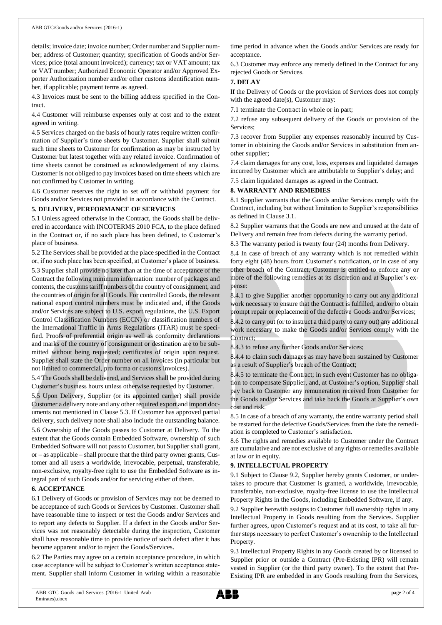details; invoice date; invoice number; Order number and Supplier number; address of Customer; quantity; specification of Goods and/or Services; price (total amount invoiced); currency; tax or VAT amount; tax or VAT number; Authorized Economic Operator and/or Approved Exporter Authorization number and/or other customs identification number, if applicable; payment terms as agreed.

4.3 Invoices must be sent to the billing address specified in the Contract.

4.4 Customer will reimburse expenses only at cost and to the extent agreed in writing.

4.5 Services charged on the basis of hourly rates require written confirmation of Supplier's time sheets by Customer. Supplier shall submit such time sheets to Customer for confirmation as may be instructed by Customer but latest together with any related invoice. Confirmation of time sheets cannot be construed as acknowledgement of any claims. Customer is not obliged to pay invoices based on time sheets which are not confirmed by Customer in writing.

4.6 Customer reserves the right to set off or withhold payment for Goods and/or Services not provided in accordance with the Contract.

#### **5. DELIVERY, PERFORMANCE OF SERVICES**

5.1 Unless agreed otherwise in the Contract, the Goods shall be delivered in accordance with INCOTERMS 2010 FCA, to the place defined in the Contract or, if no such place has been defined, to Customer's place of business.

5.2 The Services shall be provided at the place specified in the Contract or, if no such place has been specified, at Customer's place of business.

5.3 Supplier shall provide no later than at the time of acceptance of the Contract the following minimum information: number of packages and contents, the customs tariff numbers of the country of consignment, and the countries of origin for all Goods. For controlled Goods, the relevant national export control numbers must be indicated and, if the Goods and/or Services are subject to U.S. export regulations, the U.S. Export Control Classification Numbers (ECCN) or classification numbers of the International Traffic in Arms Regulations (ITAR) must be specified. Proofs of preferential origin as well as conformity declarations and marks of the country of consignment or destination are to be submitted without being requested; certificates of origin upon request. Supplier shall state the Order number on all invoices (in particular but not limited to commercial, pro forma or customs invoices).

5.4 The Goods shall be delivered, and Services shall be provided during Customer's business hours unless otherwise requested by Customer.

5.5 Upon Delivery, Supplier (or its appointed carrier) shall provide Customer a delivery note and any other required export and import documents not mentioned in Clause 5.3. If Customer has approved partial delivery, such delivery note shall also include the outstanding balance.

5.6 Ownership of the Goods passes to Customer at Delivery. To the extent that the Goods contain Embedded Software, ownership of such Embedded Software will not passto Customer, but Supplier shall grant, or – as applicable – shall procure that the third party owner grants, Customer and all users a worldwide, irrevocable, perpetual, transferable, non-exclusive, royalty-free right to use the Embedded Software as integral part of such Goods and/or for servicing either of them.

#### **6. ACCEPTANCE**

6.1 Delivery of Goods or provision of Services may not be deemed to be acceptance of such Goods or Services by Customer. Customer shall have reasonable time to inspect or test the Goods and/or Services and to report any defects to Supplier. If a defect in the Goods and/or Services was not reasonably detectable during the inspection, Customer shall have reasonable time to provide notice of such defect after it has become apparent and/or to reject the Goods/Services.

6.2 The Parties may agree on a certain acceptance procedure, in which case acceptance will be subject to Customer's written acceptance statement. Supplier shall inform Customer in writing within a reasonable time period in advance when the Goods and/or Services are ready for acceptance.

6.3 Customer may enforce any remedy defined in the Contract for any rejected Goods or Services.

#### **7. DELAY**

If the Delivery of Goods or the provision of Services does not comply with the agreed date(s), Customer may:

7.1 terminate the Contract in whole or in part;

7.2 refuse any subsequent delivery of the Goods or provision of the Services;

7.3 recover from Supplier any expenses reasonably incurred by Customer in obtaining the Goods and/or Services in substitution from another supplier;

7.4 claim damages for any cost, loss, expenses and liquidated damages incurred by Customer which are attributable to Supplier's delay; and

7.5 claim liquidated damages as agreed in the Contract.

#### **8. WARRANTY AND REMEDIES**

8.1 Supplier warrants that the Goods and/or Services comply with the Contract, including but without limitation to Supplier's responsibilities as defined in Clause 3.1.

8.2 Supplier warrants that the Goods are new and unused at the date of Delivery and remain free from defects during the warranty period.

8.3 The warranty period is twenty four (24) months from Delivery.

8.4 In case of breach of any warranty which is not remedied within forty eight (48) hours from Customer's notification, or in case of any other breach of the Contract, Customer is entitled to enforce any or more of the following remedies at its discretion and at Supplier's expense:

8.4.1 to give Supplier another opportunity to carry out any additional work necessary to ensure that the Contract is fulfilled, and/or to obtain prompt repair or replacement of the defective Goods and/or Services;

8.4.2 to carry out (or to instruct a third party to carry out) any additional work necessary to make the Goods and/or Services comply with the Contract;

8.4.3 to refuse any further Goods and/or Services;

8.4.4 to claim such damages as may have been sustained by Customer as a result of Supplier's breach of the Contract;

8.4.5 to terminate the Contract; in such event Customer has no obligation to compensate Supplier, and, at Customer's option, Supplier shall pay back to Customer any remuneration received from Customer for the Goods and/or Services and take back the Goods at Supplier's own cost and risk.

8.5 In case of a breach of any warranty, the entire warranty period shall be restarted for the defective Goods/Services from the date the remediation is completed to Customer's satisfaction.

8.6 The rights and remedies available to Customer under the Contract are cumulative and are not exclusive of any rights or remedies available at law or in equity.

#### **9. INTELLECTUAL PROPERTY**

9.1 Subject to Clause 9.2, Supplier hereby grants Customer, or undertakes to procure that Customer is granted, a worldwide, irrevocable, transferable, non-exclusive, royalty-free license to use the Intellectual Property Rights in the Goods, including Embedded Software, if any.

9.2 Supplier herewith assigns to Customer full ownership rights in any Intellectual Property in Goods resulting from the Services. Supplier further agrees, upon Customer's request and at its cost, to take all further steps necessary to perfect Customer's ownership to the Intellectual Property.

9.3 Intellectual Property Rights in any Goods created by or licensed to Supplier prior or outside a Contract (Pre-Existing IPR) will remain vested in Supplier (or the third party owner). To the extent that Pre-Existing IPR are embedded in any Goods resulting from the Services,

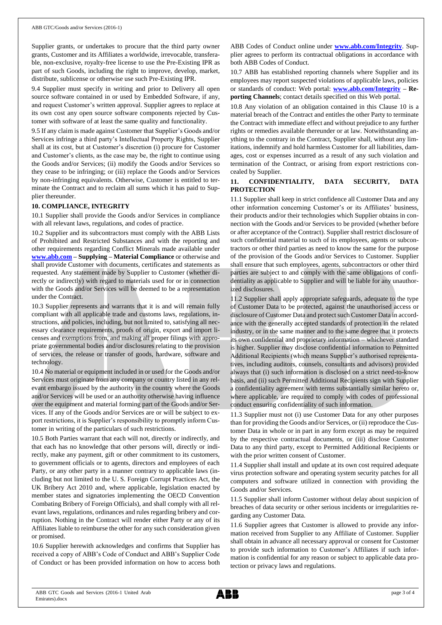Supplier grants, or undertakes to procure that the third party owner grants, Customer and its Affiliates a worldwide, irrevocable, transferable, non-exclusive, royalty-free license to use the Pre-Existing IPR as part of such Goods, including the right to improve, develop, market, distribute, sublicense or otherwise use such Pre-Existing IPR.

9.4 Supplier must specify in writing and prior to Delivery all open source software contained in or used by Embedded Software, if any, and request Customer's written approval. Supplier agrees to replace at its own cost any open source software components rejected by Customer with software of at least the same quality and functionality.

9.5 If any claim is made against Customer that Supplier's Goods and/or Services infringe a third party's Intellectual Property Rights, Supplier shall at its cost, but at Customer's discretion (i) procure for Customer and Customer's clients, as the case may be, the right to continue using the Goods and/or Services; (ii) modify the Goods and/or Services so they cease to be infringing; or (iii) replace the Goods and/or Services by non-infringing equivalents. Otherwise, Customer is entitled to terminate the Contract and to reclaim all sums which it has paid to Supplier thereunder.

#### **10. COMPLIANCE, INTEGRITY**

10.1 Supplier shall provide the Goods and/or Services in compliance with all relevant laws, regulations, and codes of practice.

10.2 Supplier and its subcontractors must comply with the ABB Lists of Prohibited and Restricted Substances and with the reporting and other requirements regarding Conflict Minerals made available under **[www.abb.com](http://www.abb.com/) – Supplying – Material Compliance** or otherwise and shall provide Customer with documents, certificates and statements as requested. Any statement made by Supplier to Customer (whether directly or indirectly) with regard to materials used for or in connection with the Goods and/or Services will be deemed to be a representation under the Contract.

10.3 Supplier represents and warrants that it is and will remain fully compliant with all applicable trade and customs laws, regulations, instructions, and policies, including, but not limited to, satisfying all necessary clearance requirements, proofs of origin, export and import licenses and exemptions from, and making all proper filings with appropriate governmental bodies and/or disclosures relating to the provision of services, the release or transfer of goods, hardware, software and technology.

10.4 No material or equipment included in or used for the Goods and/or Services must originate from any company or country listed in any relevant embargo issued by the authority in the country where the Goods and/or Services will be used or an authority otherwise having influence over the equipment and material forming part of the Goods and/or Services. If any of the Goods and/or Services are or will be subject to export restrictions, it is Supplier's responsibility to promptly inform Customer in writing of the particulars of such restrictions.

10.5 Both Parties warrant that each will not, directly or indirectly, and that each has no knowledge that other persons will, directly or indirectly, make any payment, gift or other commitment to its customers, to government officials or to agents, directors and employees of each Party, or any other party in a manner contrary to applicable laws (including but not limited to the U. S. Foreign Corrupt Practices Act, the UK Bribery Act 2010 and, where applicable, legislation enacted by member states and signatories implementing the OECD Convention Combating Bribery of Foreign Officials), and shall comply with all relevant laws, regulations, ordinances and rules regarding bribery and corruption. Nothing in the Contract will render either Party or any of its Affiliates liable to reimburse the other for any such consideration given or promised.

10.6 Supplier herewith acknowledges and confirms that Supplier has received a copy of ABB's Code of Conduct and ABB's Supplier Code of Conduct or has been provided information on how to access both ABB Codes of Conduct online under **[www.abb.com/Integrity](http://www.abb.com/Integrity)**. Supplier agrees to perform its contractual obligations in accordance with both ABB Codes of Conduct.

10.7 ABB has established reporting channels where Supplier and its employees may report suspected violations of applicable laws, policies or standards of conduct: Web portal: **[www.abb.com/Integrity](http://www.abb.com/Integrity) – Reporting Channels**; contact details specified on this Web portal.

10.8 Any violation of an obligation contained in this Clause 10 is a material breach of the Contract and entitles the other Party to terminate the Contract with immediate effect and without prejudice to any further rights or remedies available thereunder or at law. Notwithstanding anything to the contrary in the Contract, Supplier shall, without any limitations, indemnify and hold harmless Customer for all liabilities, damages, cost or expenses incurred as a result of any such violation and termination of the Contract, or arising from export restrictions concealed by Supplier.

### **11. CONFIDENTIALITY, DATA SECURITY, DATA PROTECTION**

11.1 Supplier shall keep in strict confidence all Customer Data and any other information concerning Customer's or its Affiliates' business, their products and/or their technologies which Supplier obtains in connection with the Goods and/or Services to be provided (whether before or after acceptance of the Contract). Supplier shall restrict disclosure of such confidential material to such of its employees, agents or subcontractors or other third parties as need to know the same for the purpose of the provision of the Goods and/or Services to Customer. Supplier shall ensure that such employees, agents, subcontractors or other third parties are subject to and comply with the same obligations of confidentiality as applicable to Supplier and will be liable for any unauthorized disclosures.

11.2 Supplier shall apply appropriate safeguards, adequate to the type of Customer Data to be protected, against the unauthorised access or disclosure of Customer Data and protect such Customer Data in accordance with the generally accepted standards of protection in the related industry, or in the same manner and to the same degree that it protects its own confidential and proprietary information – whichever standard is higher. Supplier may disclose confidential information to Permitted Additional Recipients (which means Supplier's authorised representatives, including auditors, counsels, consultants and advisors) provided always that (i) such information is disclosed on a strict need-to-know basis, and (ii) such Permitted Additional Recipients sign with Supplier a confidentiality agreement with terms substantially similar hereto or, where applicable, are required to comply with codes of professional conduct ensuring confidentiality of such information.

11.3 Supplier must not (i) use Customer Data for any other purposes than for providing the Goods and/or Services, or (ii) reproduce the Customer Data in whole or in part in any form except as may be required by the respective contractual documents, or (iii) disclose Customer Data to any third party, except to Permitted Additional Recipients or with the prior written consent of Customer.

11.4 Supplier shall install and update at its own cost required adequate virus protection software and operating system security patches for all computers and software utilized in connection with providing the Goods and/or Services.

11.5 Supplier shall inform Customer without delay about suspicion of breaches of data security or other serious incidents or irregularities regarding any Customer Data.

11.6 Supplier agrees that Customer is allowed to provide any information received from Supplier to any Affiliate of Customer. Supplier shall obtain in advance all necessary approval or consent for Customer to provide such information to Customer's Affiliates if such information is confidential for any reason or subject to applicable data protection or privacy laws and regulations.